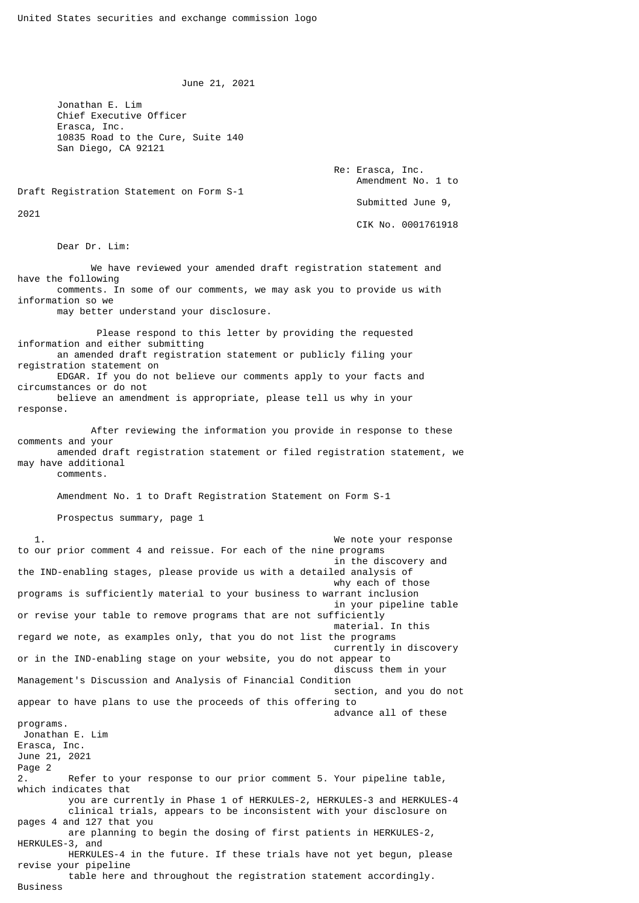June 21, 2021

 Jonathan E. Lim Chief Executive Officer Erasca, Inc. 10835 Road to the Cure, Suite 140 San Diego, CA 92121

> Re: Erasca, Inc. Amendment No. 1 to Submitted June 9,

> > CIK No. 0001761918

Draft Registration Statement on Form S-1

2021

Dear Dr. Lim:

 We have reviewed your amended draft registration statement and have the following comments. In some of our comments, we may ask you to provide us with information so we may better understand your disclosure.

 Please respond to this letter by providing the requested information and either submitting an amended draft registration statement or publicly filing your registration statement on EDGAR. If you do not believe our comments apply to your facts and circumstances or do not believe an amendment is appropriate, please tell us why in your response.

 After reviewing the information you provide in response to these comments and your amended draft registration statement or filed registration statement, we may have additional

comments.

Amendment No. 1 to Draft Registration Statement on Form S-1

Prospectus summary, page 1

 1. We note your response to our prior comment 4 and reissue. For each of the nine programs in the discovery and the IND-enabling stages, please provide us with a detailed analysis of why each of those programs is sufficiently material to your business to warrant inclusion in your pipeline table or revise your table to remove programs that are not sufficiently material. In this regard we note, as examples only, that you do not list the programs currently in discovery or in the IND-enabling stage on your website, you do not appear to discuss them in your Management's Discussion and Analysis of Financial Condition section, and you do not appear to have plans to use the proceeds of this offering to advance all of these programs. Jonathan E. Lim Erasca, Inc. June 21, 2021 Page 2 2. Refer to your response to our prior comment 5. Your pipeline table, which indicates that you are currently in Phase 1 of HERKULES-2, HERKULES-3 and HERKULES-4 clinical trials, appears to be inconsistent with your disclosure on pages 4 and 127 that you are planning to begin the dosing of first patients in HERKULES-2, HERKULES-3, and HERKULES-4 in the future. If these trials have not yet begun, please revise your pipeline table here and throughout the registration statement accordingly. Business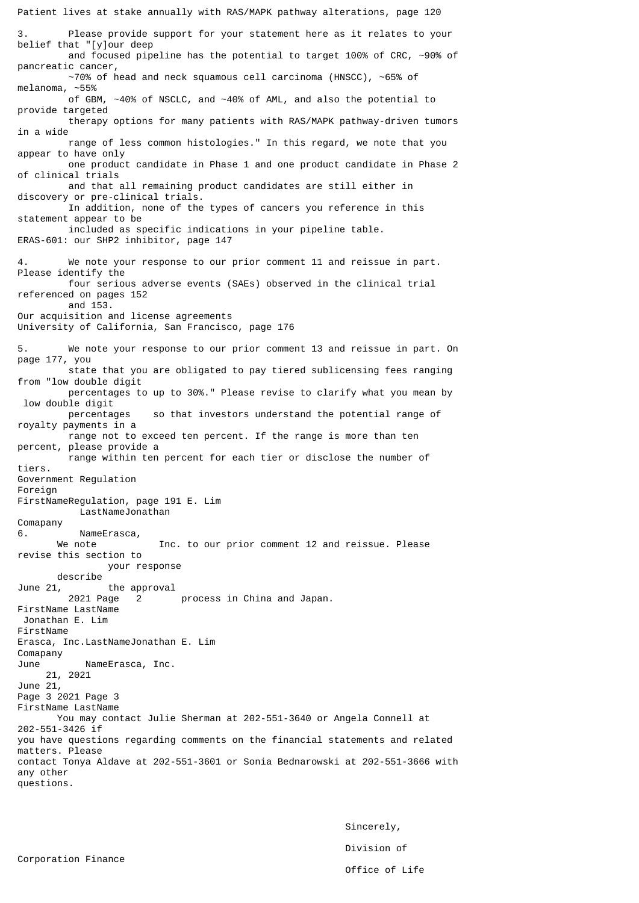Patient lives at stake annually with RAS/MAPK pathway alterations, page 120 3. Please provide support for your statement here as it relates to your belief that "[y]our deep and focused pipeline has the potential to target 100% of CRC, ~90% of pancreatic cancer, ~70% of head and neck squamous cell carcinoma (HNSCC), ~65% of melanoma, ~55% of GBM, ~40% of NSCLC, and ~40% of AML, and also the potential to provide targeted therapy options for many patients with RAS/MAPK pathway-driven tumors in a wide range of less common histologies." In this regard, we note that you appear to have only one product candidate in Phase 1 and one product candidate in Phase 2 of clinical trials and that all remaining product candidates are still either in discovery or pre-clinical trials. In addition, none of the types of cancers you reference in this statement appear to be included as specific indications in your pipeline table. ERAS-601: our SHP2 inhibitor, page 147 4. We note your response to our prior comment 11 and reissue in part. Please identify the four serious adverse events (SAEs) observed in the clinical trial referenced on pages 152 and 153. Our acquisition and license agreements University of California, San Francisco, page 176 5. We note your response to our prior comment 13 and reissue in part. On page 177, you state that you are obligated to pay tiered sublicensing fees ranging from "low double digit percentages to up to 30%." Please revise to clarify what you mean by low double digit percentages so that investors understand the potential range of royalty payments in a range not to exceed ten percent. If the range is more than ten percent, please provide a range within ten percent for each tier or disclose the number of tiers. Government Regulation Foreign FirstNameRegulation, page 191 E. Lim LastNameJonathan Comapany 6. NameErasca, We note **Inc.** to our prior comment 12 and reissue. Please revise this section to your response describe<br>June 21, the approval 2021 Page 2 process in China and Japan. FirstName LastName Jonathan E. Lim FirstName Erasca, Inc.LastNameJonathan E. Lim Comapany NameErasca, Inc. 21, 2021 June 21, Page 3 2021 Page 3 FirstName LastName You may contact Julie Sherman at 202-551-3640 or Angela Connell at 202-551-3426 if you have questions regarding comments on the financial statements and related matters. Please contact Tonya Aldave at 202-551-3601 or Sonia Bednarowski at 202-551-3666 with any other questions.

> Sincerely, Division of Office of Life